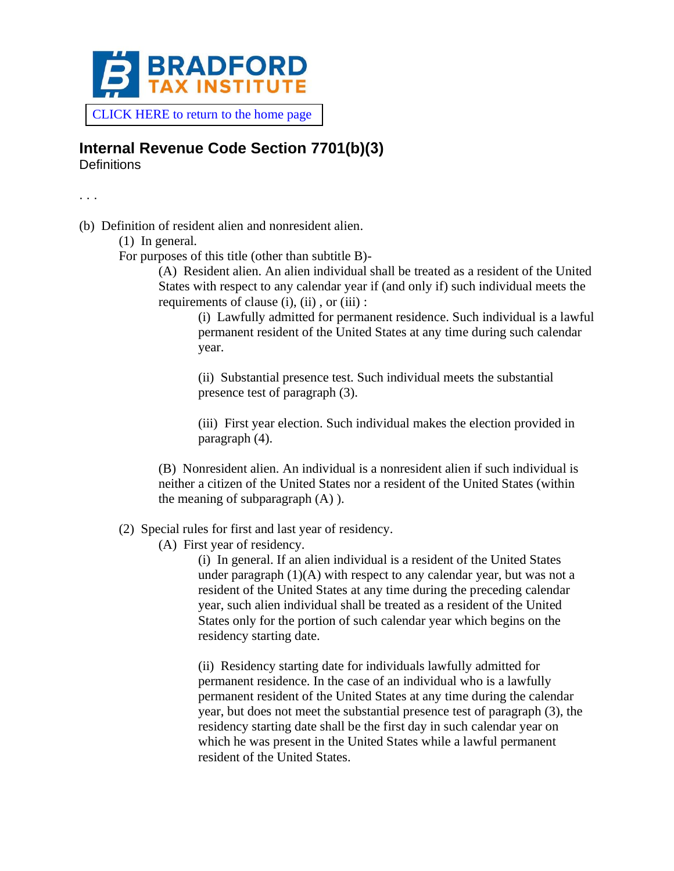

[CLICK HERE to return to the home page](https://www.bradfordtaxinstitute.com)

## **Internal Revenue Code Section 7701(b)(3)**

**Definitions** 

. . .

(b) Definition of resident alien and nonresident alien.

(1) In general.

For purposes of this title (other than subtitle B)-

(A) Resident alien. An alien individual shall be treated as a resident of the United States with respect to any calendar year if (and only if) such individual meets the requirements of clause (i), (ii) , or (iii) :

(i) Lawfully admitted for permanent residence. Such individual is a lawful permanent resident of the United States at any time during such calendar year.

(ii) Substantial presence test. Such individual meets the substantial presence test of paragraph (3).

(iii) First year election. Such individual makes the election provided in paragraph (4).

(B) Nonresident alien. An individual is a nonresident alien if such individual is neither a citizen of the United States nor a resident of the United States (within the meaning of subparagraph  $(A)$ ).

(2) Special rules for first and last year of residency.

(A) First year of residency.

(i) In general. If an alien individual is a resident of the United States under paragraph (1)(A) with respect to any calendar year, but was not a resident of the United States at any time during the preceding calendar year, such alien individual shall be treated as a resident of the United States only for the portion of such calendar year which begins on the residency starting date.

(ii) Residency starting date for individuals lawfully admitted for permanent residence. In the case of an individual who is a lawfully permanent resident of the United States at any time during the calendar year, but does not meet the substantial presence test of paragraph (3), the residency starting date shall be the first day in such calendar year on which he was present in the United States while a lawful permanent resident of the United States.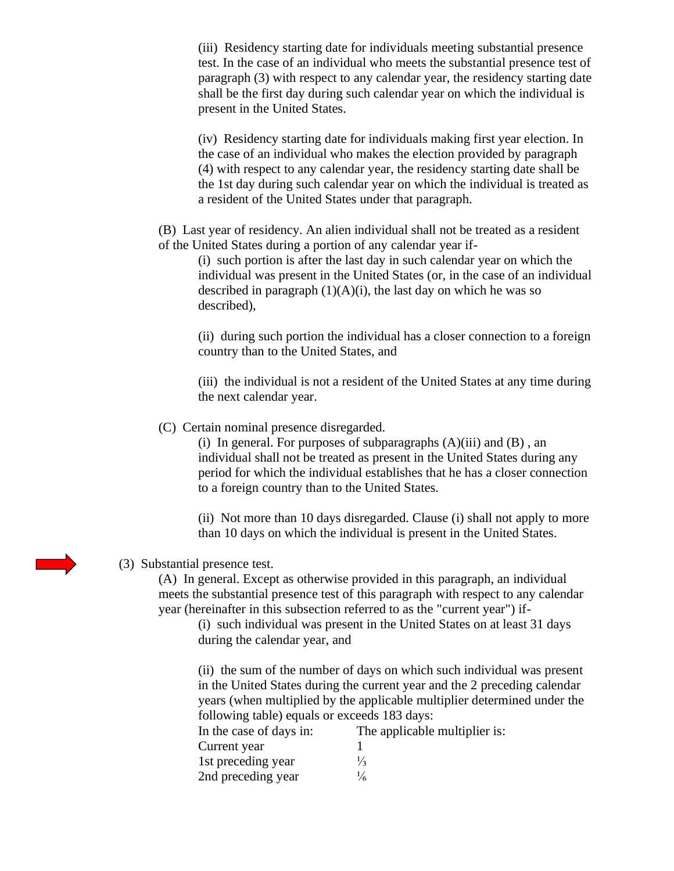(iii) Residency starting date for individuals meeting substantial presence test. In the case of an individual who meets the substantial presence test of paragraph (3) with respect to any calendar year, the residency starting date shall be the first day during such calendar year on which the individual is present in the United States.

(iv) Residency starting date for individuals making first year election. In the case of an individual who makes the election provided by paragraph (4) with respect to any calendar year, the residency starting date shall be the 1st day during such calendar year on which the individual is treated as a resident of the United States under that paragraph.

(B) Last year of residency. An alien individual shall not be treated as a resident of the United States during a portion of any calendar year if-

(i) such portion is after the last day in such calendar year on which the individual was present in the United States (or, in the case of an individual described in paragraph  $(1)(A)(i)$ , the last day on which he was so described),

(ii) during such portion the individual has a closer connection to a foreign country than to the United States, and

(iii) the individual is not a resident of the United States at any time during the next calendar year.

(C) Certain nominal presence disregarded.

(i) In general. For purposes of subparagraphs  $(A)(iii)$  and  $(B)$ , an individual shall not be treated as present in the United States during any period for which the individual establishes that he has a closer connection to a foreign country than to the United States.

(ii) Not more than 10 days disregarded. Clause (i) shall not apply to more than 10 days on which the individual is present in the United States.

## (3) Substantial presence test.

(A) In general. Except as otherwise provided in this paragraph, an individual meets the substantial presence test of this paragraph with respect to any calendar year (hereinafter in this subsection referred to as the "current year") if-

(i) such individual was present in the United States on at least 31 days during the calendar year, and

(ii) the sum of the number of days on which such individual was present in the United States during the current year and the 2 preceding calendar years (when multiplied by the applicable multiplier determined under the following table) equals or exceeds 183 days:

| In the case of days in: | The applicable multiplier is: |
|-------------------------|-------------------------------|
| Current year            |                               |
| 1st preceding year      | $\frac{1}{3}$                 |
| 2nd preceding year      | $\frac{1}{6}$                 |

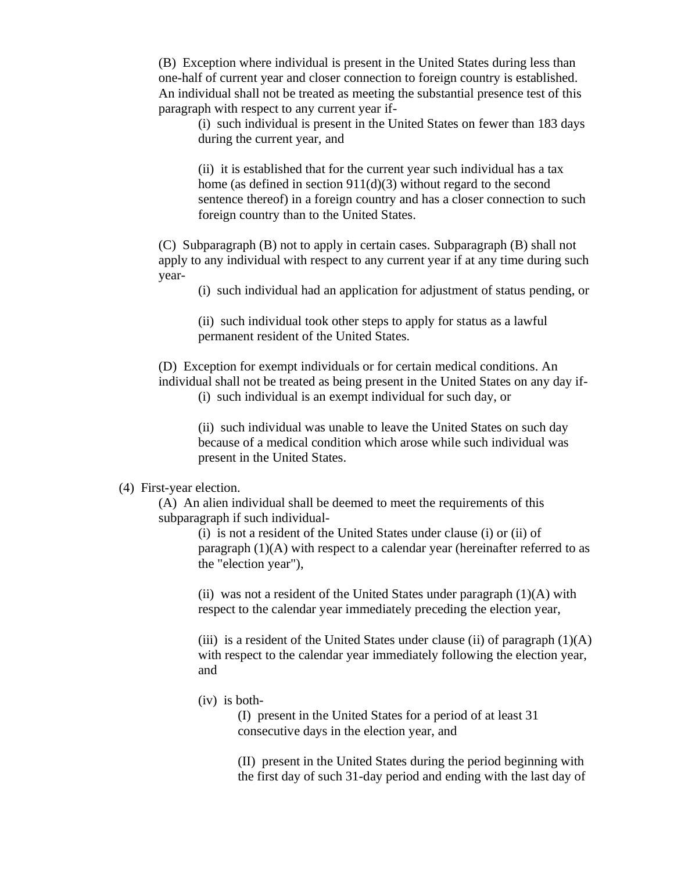(B) Exception where individual is present in the United States during less than one-half of current year and closer connection to foreign country is established. An individual shall not be treated as meeting the substantial presence test of this paragraph with respect to any current year if-

(i) such individual is present in the United States on fewer than 183 days during the current year, and

(ii) it is established that for the current year such individual has a tax home (as defined in section 911(d)(3) without regard to the second sentence thereof) in a foreign country and has a closer connection to such foreign country than to the United States.

(C) Subparagraph (B) not to apply in certain cases. Subparagraph (B) shall not apply to any individual with respect to any current year if at any time during such year-

(i) such individual had an application for adjustment of status pending, or

(ii) such individual took other steps to apply for status as a lawful permanent resident of the United States.

(D) Exception for exempt individuals or for certain medical conditions. An individual shall not be treated as being present in the United States on any day if-

(i) such individual is an exempt individual for such day, or

(ii) such individual was unable to leave the United States on such day because of a medical condition which arose while such individual was present in the United States.

## (4) First-year election.

(A) An alien individual shall be deemed to meet the requirements of this subparagraph if such individual-

(i) is not a resident of the United States under clause (i) or (ii) of paragraph (1)(A) with respect to a calendar year (hereinafter referred to as the "election year"),

(ii) was not a resident of the United States under paragraph  $(1)(A)$  with respect to the calendar year immediately preceding the election year,

(iii) is a resident of the United States under clause (ii) of paragraph  $(1)(A)$ with respect to the calendar year immediately following the election year, and

(iv) is both-

(I) present in the United States for a period of at least 31 consecutive days in the election year, and

(II) present in the United States during the period beginning with the first day of such 31-day period and ending with the last day of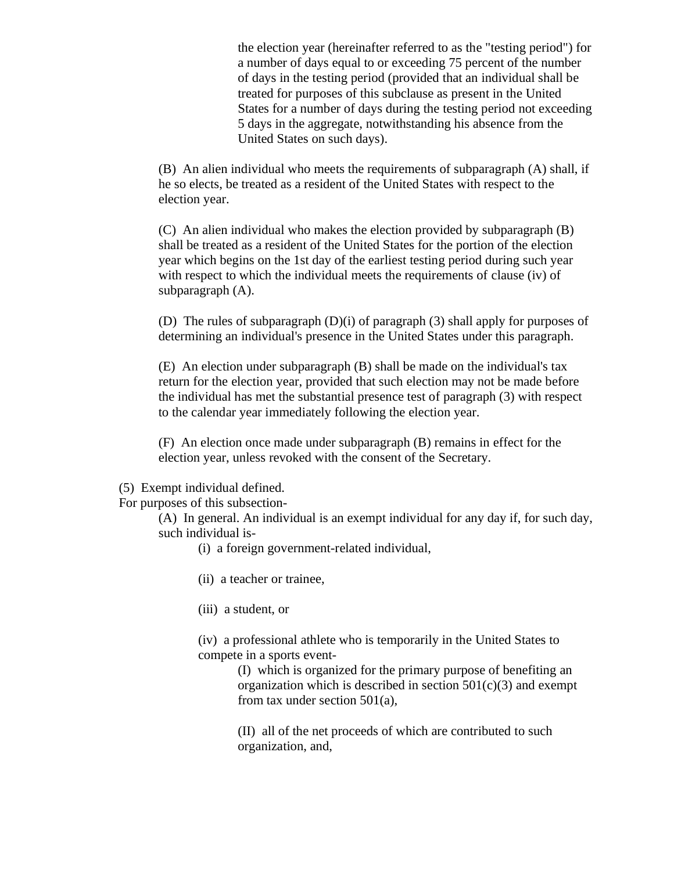the election year (hereinafter referred to as the "testing period") for a number of days equal to or exceeding 75 percent of the number of days in the testing period (provided that an individual shall be treated for purposes of this subclause as present in the United States for a number of days during the testing period not exceeding 5 days in the aggregate, notwithstanding his absence from the United States on such days).

(B) An alien individual who meets the requirements of subparagraph (A) shall, if he so elects, be treated as a resident of the United States with respect to the election year.

(C) An alien individual who makes the election provided by subparagraph (B) shall be treated as a resident of the United States for the portion of the election year which begins on the 1st day of the earliest testing period during such year with respect to which the individual meets the requirements of clause (iv) of subparagraph (A).

(D) The rules of subparagraph (D)(i) of paragraph (3) shall apply for purposes of determining an individual's presence in the United States under this paragraph.

(E) An election under subparagraph (B) shall be made on the individual's tax return for the election year, provided that such election may not be made before the individual has met the substantial presence test of paragraph (3) with respect to the calendar year immediately following the election year.

(F) An election once made under subparagraph (B) remains in effect for the election year, unless revoked with the consent of the Secretary.

- (5) Exempt individual defined.
- For purposes of this subsection-

(A) In general. An individual is an exempt individual for any day if, for such day, such individual is-

- (i) a foreign government-related individual,
- (ii) a teacher or trainee,
- (iii) a student, or

(iv) a professional athlete who is temporarily in the United States to compete in a sports event-

> (I) which is organized for the primary purpose of benefiting an organization which is described in section  $501(c)(3)$  and exempt from tax under section 501(a),

(II) all of the net proceeds of which are contributed to such organization, and,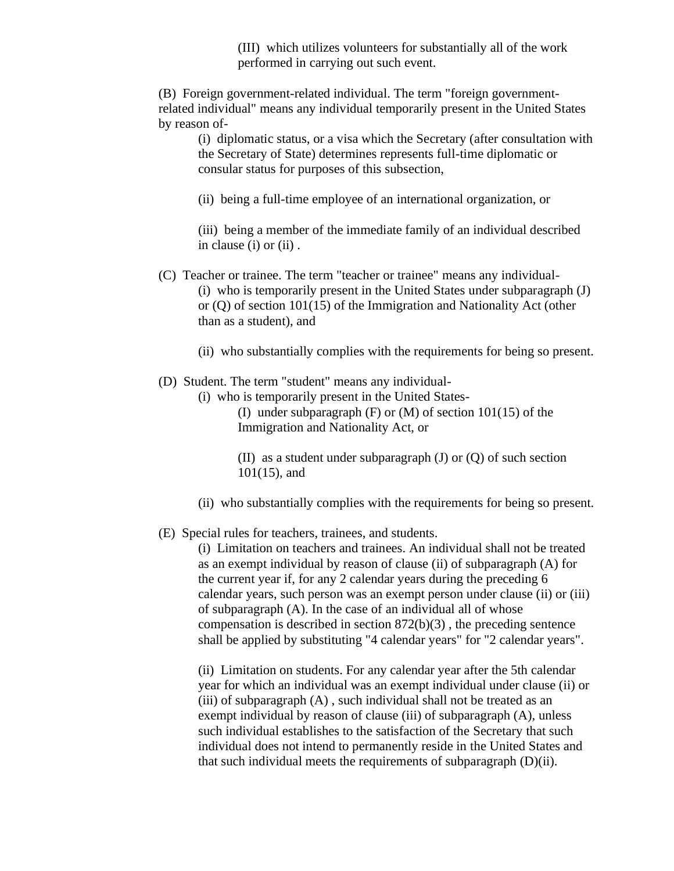(III) which utilizes volunteers for substantially all of the work performed in carrying out such event.

(B) Foreign government-related individual. The term "foreign governmentrelated individual" means any individual temporarily present in the United States by reason of-

(i) diplomatic status, or a visa which the Secretary (after consultation with the Secretary of State) determines represents full-time diplomatic or consular status for purposes of this subsection,

(ii) being a full-time employee of an international organization, or

(iii) being a member of the immediate family of an individual described in clause (i) or (ii).

- (C) Teacher or trainee. The term "teacher or trainee" means any individual- (i) who is temporarily present in the United States under subparagraph (J) or (Q) of section 101(15) of the Immigration and Nationality Act (other than as a student), and
	- (ii) who substantially complies with the requirements for being so present.
- (D) Student. The term "student" means any individual-
	- (i) who is temporarily present in the United States-

(I) under subparagraph (F) or (M) of section 101(15) of the Immigration and Nationality Act, or

(II) as a student under subparagraph  $(J)$  or  $(Q)$  of such section 101(15), and

- (ii) who substantially complies with the requirements for being so present.
- (E) Special rules for teachers, trainees, and students.

(i) Limitation on teachers and trainees. An individual shall not be treated as an exempt individual by reason of clause (ii) of subparagraph (A) for the current year if, for any 2 calendar years during the preceding 6 calendar years, such person was an exempt person under clause (ii) or (iii) of subparagraph (A). In the case of an individual all of whose compensation is described in section 872(b)(3) , the preceding sentence shall be applied by substituting "4 calendar years" for "2 calendar years".

(ii) Limitation on students. For any calendar year after the 5th calendar year for which an individual was an exempt individual under clause (ii) or (iii) of subparagraph (A) , such individual shall not be treated as an exempt individual by reason of clause (iii) of subparagraph (A), unless such individual establishes to the satisfaction of the Secretary that such individual does not intend to permanently reside in the United States and that such individual meets the requirements of subparagraph (D)(ii).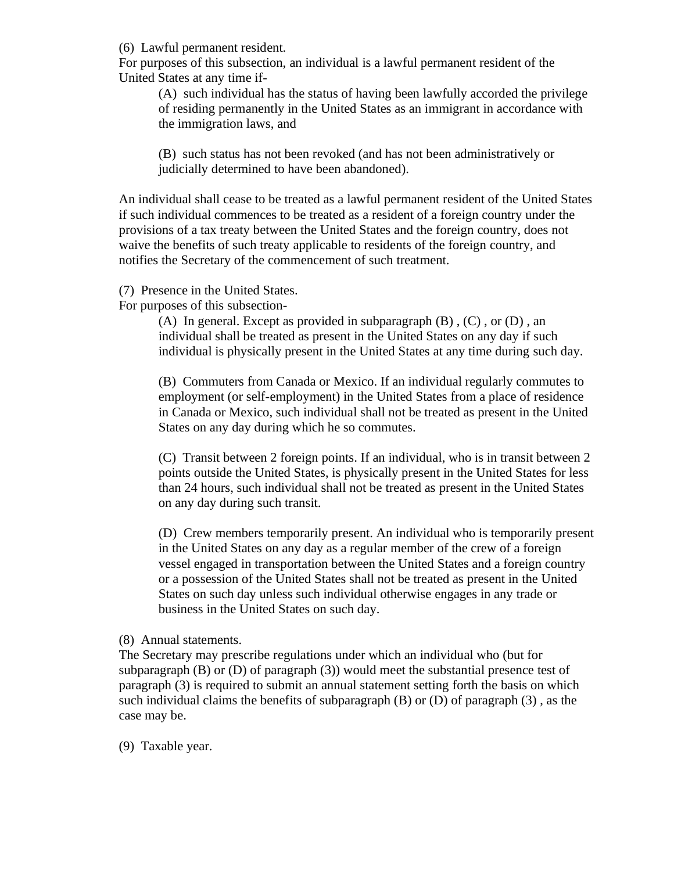(6) Lawful permanent resident.

For purposes of this subsection, an individual is a lawful permanent resident of the United States at any time if-

(A) such individual has the status of having been lawfully accorded the privilege of residing permanently in the United States as an immigrant in accordance with the immigration laws, and

(B) such status has not been revoked (and has not been administratively or judicially determined to have been abandoned).

An individual shall cease to be treated as a lawful permanent resident of the United States if such individual commences to be treated as a resident of a foreign country under the provisions of a tax treaty between the United States and the foreign country, does not waive the benefits of such treaty applicable to residents of the foreign country, and notifies the Secretary of the commencement of such treatment.

(7) Presence in the United States.

For purposes of this subsection-

(A) In general. Except as provided in subparagraph  $(B)$ ,  $(C)$ , or  $(D)$ , an individual shall be treated as present in the United States on any day if such individual is physically present in the United States at any time during such day.

(B) Commuters from Canada or Mexico. If an individual regularly commutes to employment (or self-employment) in the United States from a place of residence in Canada or Mexico, such individual shall not be treated as present in the United States on any day during which he so commutes.

(C) Transit between 2 foreign points. If an individual, who is in transit between 2 points outside the United States, is physically present in the United States for less than 24 hours, such individual shall not be treated as present in the United States on any day during such transit.

(D) Crew members temporarily present. An individual who is temporarily present in the United States on any day as a regular member of the crew of a foreign vessel engaged in transportation between the United States and a foreign country or a possession of the United States shall not be treated as present in the United States on such day unless such individual otherwise engages in any trade or business in the United States on such day.

(8) Annual statements.

The Secretary may prescribe regulations under which an individual who (but for subparagraph  $(B)$  or  $(D)$  of paragraph  $(3)$ ) would meet the substantial presence test of paragraph (3) is required to submit an annual statement setting forth the basis on which such individual claims the benefits of subparagraph  $(B)$  or  $(D)$  of paragraph  $(3)$ , as the case may be.

(9) Taxable year.